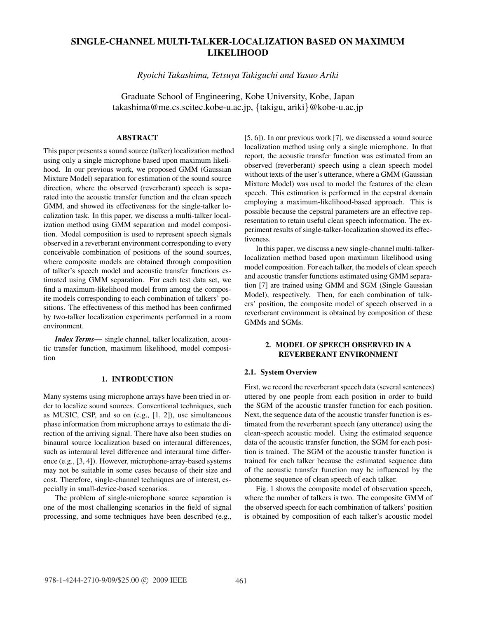# **SINGLE-CHANNEL MULTI-TALKER-LOCALIZATION BASED ON MAXIMUM LIKELIHOOD**

*Ryoichi Takashima, Tetsuya Takiguchi and Yasuo Ariki*

Graduate School of Engineering, Kobe University, Kobe, Japan takashima@me.cs.scitec.kobe-u.ac.jp, {takigu, ariki}@kobe-u.ac.jp

## **ABSTRACT**

This paper presents a sound source (talker) localization method using only a single microphone based upon maximum likelihood. In our previous work, we proposed GMM (Gaussian Mixture Model) separation for estimation of the sound source direction, where the observed (reverberant) speech is separated into the acoustic transfer function and the clean speech GMM, and showed its effectiveness for the single-talker localization task. In this paper, we discuss a multi-talker localization method using GMM separation and model composition. Model composition is used to represent speech signals observed in a reverberant environment corresponding to every conceivable combination of positions of the sound sources, where composite models are obtained through composition of talker's speech model and acoustic transfer functions estimated using GMM separation. For each test data set, we find a maximum-likelihood model from among the composite models corresponding to each combination of talkers' positions. The effectiveness of this method has been confirmed by two-talker localization experiments performed in a room environment.

*Index Terms***—** single channel, talker localization, acoustic transfer function, maximum likelihood, model composition

## **1. INTRODUCTION**

Many systems using microphone arrays have been tried in order to localize sound sources. Conventional techniques, such as MUSIC, CSP, and so on (e.g., [1, 2]), use simultaneous phase information from microphone arrays to estimate the direction of the arriving signal. There have also been studies on binaural source localization based on interaural differences, such as interaural level difference and interaural time difference (e.g., [3, 4]). However, microphone-array-based systems may not be suitable in some cases because of their size and cost. Therefore, single-channel techniques are of interest, especially in small-device-based scenarios.

The problem of single-microphone source separation is one of the most challenging scenarios in the field of signal processing, and some techniques have been described (e.g., [5, 6]). In our previous work [7], we discussed a sound source localization method using only a single microphone. In that report, the acoustic transfer function was estimated from an observed (reverberant) speech using a clean speech model without texts of the user's utterance, where a GMM (Gaussian Mixture Model) was used to model the features of the clean speech. This estimation is performed in the cepstral domain employing a maximum-likelihood-based approach. This is possible because the cepstral parameters are an effective representation to retain useful clean speech information. The experiment results of single-talker-localization showed its effectiveness.

In this paper, we discuss a new single-channel multi-talkerlocalization method based upon maximum likelihood using model composition. For each talker, the models of clean speech and acoustic transfer functions estimated using GMM separation [7] are trained using GMM and SGM (Single Gaussian Model), respectively. Then, for each combination of talkers' position, the composite model of speech observed in a reverberant environment is obtained by composition of these GMMs and SGMs.

## **2. MODEL OF SPEECH OBSERVED IN A REVERBERANT ENVIRONMENT**

## **2.1. System Overview**

First, we record the reverberant speech data (several sentences) uttered by one people from each position in order to build the SGM of the acoustic transfer function for each position. Next, the sequence data of the acoustic transfer function is estimated from the reverberant speech (any utterance) using the clean-speech acoustic model. Using the estimated sequence data of the acoustic transfer function, the SGM for each position is trained. The SGM of the acoustic transfer function is trained for each talker because the estimated sequence data of the acoustic transfer function may be influenced by the phoneme sequence of clean speech of each talker.

Fig. 1 shows the composite model of observation speech, where the number of talkers is two. The composite GMM of the observed speech for each combination of talkers' position is obtained by composition of each talker's acoustic model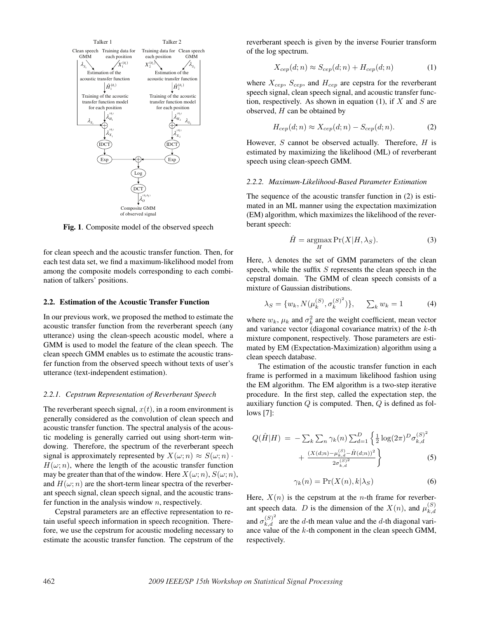

**Fig. 1**. Composite model of the observed speech

for clean speech and the acoustic transfer function. Then, for each test data set, we find a maximum-likelihood model from among the composite models corresponding to each combination of talkers' positions.

### **2.2. Estimation of the Acoustic Transfer Function**

In our previous work, we proposed the method to estimate the acoustic transfer function from the reverberant speech (any utterance) using the clean-speech acoustic model, where a GMM is used to model the feature of the clean speech. The clean speech GMM enables us to estimate the acoustic transfer function from the observed speech without texts of user's utterance (text-independent estimation).

## *2.2.1. Cepstrum Representation of Reverberant Speech*

The reverberant speech signal,  $x(t)$ , in a room environment is generally considered as the convolution of clean speech and acoustic transfer function. The spectral analysis of the acoustic modeling is generally carried out using short-term windowing. Therefore, the spectrum of the reverberant speech signal is approximately represented by  $X(\omega; n) \approx S(\omega; n)$ .  $H(\omega; n)$ , where the length of the acoustic transfer function may be greater than that of the window. Here  $X(\omega; n)$ ,  $S(\omega; n)$ , and  $H(\omega; n)$  are the short-term linear spectra of the reverberant speech signal, clean speech signal, and the acoustic transfer function in the analysis window  $n$ , respectively.

Cepstral parameters are an effective representation to retain useful speech information in speech recognition. Therefore, we use the cepstrum for acoustic modeling necessary to estimate the acoustic transfer function. The cepstrum of the reverberant speech is given by the inverse Fourier transform of the log spectrum.

$$
X_{cep}(d;n) \approx S_{cep}(d;n) + H_{cep}(d;n)
$$
 (1)

where  $X_{cep}$ ,  $S_{cep}$ , and  $H_{cep}$  are cepstra for the reverberant speech signal, clean speech signal, and acoustic transfer function, respectively. As shown in equation (1), if  $X$  and  $S$  are observed,  $H$  can be obtained by

$$
H_{cep}(d;n) \approx X_{cep}(d;n) - S_{cep}(d;n). \tag{2}
$$

However,  $S$  cannot be observed actually. Therefore,  $H$  is estimated by maximizing the likelihood (ML) of reverberant speech using clean-speech GMM.

#### *2.2.2. Maximum-Likelihood-Based Parameter Estimation*

The sequence of the acoustic transfer function in (2) is estimated in an ML manner using the expectation maximization (EM) algorithm, which maximizes the likelihood of the reverberant speech:

$$
\hat{H} = \underset{H}{\operatorname{argmax}} \Pr(X|H, \lambda_S). \tag{3}
$$

Here,  $\lambda$  denotes the set of GMM parameters of the clean speech, while the suffix  $S$  represents the clean speech in the cepstral domain. The GMM of clean speech consists of a mixture of Gaussian distributions.

$$
\lambda_S = \{ w_k, N(\mu_k^{(S)}, \sigma_k^{(S)^2}) \}, \quad \sum_k w_k = 1 \tag{4}
$$

where  $w_k$ ,  $\mu_k$  and  $\sigma_k^2$  are the weight coefficient, mean vector and variance vector (diagonal covariance matrix) of the  $k$ -th mixture component, respectively. Those parameters are estimated by EM (Expectation-Maximization) algorithm using a clean speech database.

The estimation of the acoustic transfer function in each frame is performed in a maximum likelihood fashion using the EM algorithm. The EM algorithm is a two-step iterative procedure. In the first step, called the expectation step, the auxiliary function  $Q$  is computed. Then,  $Q$  is defined as follows [7]:

$$
Q(\hat{H}|H) = -\sum_{k} \sum_{n} \gamma_{k}(n) \sum_{d=1}^{D} \left\{ \frac{1}{2} \log(2\pi)^{D} \sigma_{k,d}^{(S)^{2}} + \frac{(X(d;n) - \mu_{k,d}^{(S)} - \hat{H}(d;n))^{2}}{2\sigma_{k,d}^{(S)^{2}}} \right\}
$$
(5)

$$
\gamma_k(n) = \Pr(X(n), k | \lambda_S) \tag{6}
$$

Here,  $X(n)$  is the cepstrum at the *n*-th frame for reverberant speech data. D is the dimension of the  $X(n)$ , and  $\mu_{k,d}^{(S)}$ and  $\sigma_{k,d}^{(S)^2}$  are the d-th mean value and the d-th diagonal variance value of the k-th component in the clean speech GMM, respectively.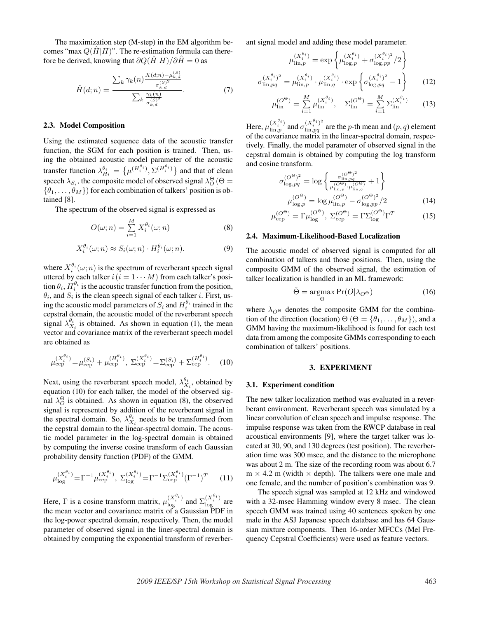The maximization step (M-step) in the EM algorithm becomes "max  $Q(H|H)$ ". The re-estimation formula can therefore be derived, knowing that  $\partial Q(\hat{H}|H)/\partial \hat{H} = 0$  as

$$
\hat{H}(d;n) = \frac{\sum_{k} \gamma_{k}(n) \frac{X(d;n) - \mu_{k,d}^{(S)}}{\sigma_{k,d}^{(S)^{2}}}}{\sum_{k} \frac{\gamma_{k}(n)}{\sigma_{k,d}^{(S)^{2}}}}.
$$
(7)

## **2.3. Model Composition**

Using the estimated sequence data of the acoustic transfer function, the SGM for each position is trained. Then, using the obtained acoustic model parameter of the acoustic transfer function  $\lambda_{H_i}^{\theta_i} = {\mu^{(H_i^{\theta_i})}, \Sigma^{(H_i^{\theta_i})}}$  and that of clean speech  $\lambda_{S_i}$ , the composite model of observed signal  $\lambda_{\mathcal{O}}^{\Theta}$  ( $\Theta$  =  $\{A_i, A_i\}$ ) for each combination of talkers' position is ob- $\{\theta_1,\ldots,\theta_M\}$  for each combination of talkers' position is obtained [8].

The spectrum of the observed signal is expressed as

$$
O(\omega; n) = \sum_{i=1}^{M} X_i^{\theta_i}(\omega; n)
$$
 (8)

$$
X_i^{\theta_i}(\omega; n) \approx S_i(\omega; n) \cdot H_i^{\theta_i}(\omega; n). \tag{9}
$$

where  $X_i^{\theta_i}(\omega; n)$  is the spectrum of reverberant speech signal<br>uttered by each talker  $i (i - 1 \dots M)$  from each talker's posiuttered by each talker  $i(i = 1 \cdots M)$  from each talker's position  $\theta_i$ ,  $H_i^{\theta_i}$  is the acoustic transfer function from the position,  $\theta_i$ , and  $S_i$  is the clean speech signal of each talker *i*. First, using the acoustic model parameters of  $S_i$  and  $H_i^{\theta_i}$  trained in the cepstral domain, the acoustic model of the reverberant speech signal  $\lambda_{X_i}^{\theta_i}$  is obtained. As shown in equation (1), the mean vector and covariance matrix of the reverberant speech model are obtained as

$$
\mu_{\text{cep}}^{(X_i^{\theta_i})} = \mu_{\text{cep}}^{(S_i)} + \mu_{\text{cep}}^{(H_i^{\theta_i})}, \ \Sigma_{\text{cep}}^{(X_i^{\theta_i})} = \Sigma_{\text{cep}}^{(S_i)} + \Sigma_{\text{cep}}^{(H_i^{\theta_i})}.
$$
 (10)

Next, using the reverberant speech model,  $\lambda_{X_i}^{\theta_i}$ , obtained by equation (10) for each talker, the model of the observed signal  $\lambda_O^{\Theta}$  is obtained. As shown in equation (8), the observed signal is represented by addition of the reverberant signal in the spectral domain. So,  $\lambda_{X_i}^{\theta_i}$  needs to be transformed from the cepstral domain to the linear-spectral domain. The acoustic model parameter in the log-spectral domain is obtained by computing the inverse cosine transform of each Gaussian probability density function (PDF) of the GMM.

$$
\mu_{\text{log}}^{(X_i^{\theta_i})} = \Gamma^{-1} \mu_{\text{cep}}^{(X_i^{\theta_i})}, \ \Sigma_{\text{log}}^{(X_i^{\theta_i})} = \Gamma^{-1} \Sigma_{\text{cep}}^{(X_i^{\theta_i})} (\Gamma^{-1})^T \tag{11}
$$

Here,  $\Gamma$  is a cosine transform matrix,  $\mu_{\log}^{(X_i^{\theta_i})}$  and  $\Sigma_{\log}^{(X_i^{\theta_i})}$  are the mean vector and covariance matrix of a Gaussian PDF in the log-power spectral domain, respectively. Then, the model parameter of observed signal in the liner-spectral domain is obtained by computing the exponential transform of reverberant signal model and adding these model parameter.

$$
\mu_{\text{lin},p}^{(X_i^{\theta_i})} = \exp\left\{\mu_{\text{log},p}^{(X_i^{\theta_i})} + \sigma_{\text{log},pp}^{(X_i^{\theta_i})^2}/2\right\}
$$
\n
$$
\sigma_{\text{lin},pq}^{(X_i^{\theta_i})^2} = \mu_{\text{lin},p}^{(X_i^{\theta_i})} \cdot \mu_{\text{lin},q}^{(X_i^{\theta_i})} \cdot \exp\left\{\sigma_{\text{log},pq}^{(X_i^{\theta_i})^2} - 1\right\} \tag{12}
$$

$$
\mu_{\text{lin}}^{(O^{\Theta})} = \sum_{i=1}^{M} \mu_{\text{lin}}^{(X_i^{\theta_i})}, \quad \Sigma_{\text{lin}}^{(O^{\Theta})} = \sum_{i=1}^{M} \Sigma_{\text{lin}}^{(X_i^{\theta_i})} \tag{13}
$$

Here,  $\mu_{\text{lin},p}^{(X_i^{\theta_i})}$  and  $\sigma_{\text{lin},pq}^{(X_i^{\theta_i})^2}$  are the *p*-th mean and  $(p, q)$  element of the covariance matrix in the linear-spectral domain, respectively. Finally, the model parameter of observed signal in the cepstral domain is obtained by computing the log transform and cosine transform.

$$
\sigma_{\log,pq}^{(O^{\Theta})^2} = \log \left\{ \frac{\sigma_{\lim,pq}^{(O^{\Theta})^2}}{\mu_{\lim,p}^{(O^{\Theta})} \mu_{\lim,q}^{(O^{\Theta})}} + 1 \right\}
$$

$$
\mu_{\log,p}^{(O^{\Theta})} = \log \mu_{\lim,p}^{(O^{\Theta})} - \sigma_{\log,pp}^{(O^{\Theta})^2} / 2 \tag{14}
$$

$$
\mu_{\text{cep}}^{(O^{\Theta})} = \Gamma \mu_{\text{log}}^{(O^{\Theta})}, \ \Sigma_{\text{cep}}^{(O^{\Theta})} = \Gamma \Sigma_{\text{log}}^{(O^{\Theta})} \Gamma^T \tag{15}
$$

#### **2.4. Maximum-Likelihood-Based Localization**

The acoustic model of observed signal is computed for all combination of talkers and those positions. Then, using the composite GMM of the observed signal, the estimation of talker localization is handled in an ML framework:

$$
\hat{\Theta} = \underset{\Theta}{\operatorname{argmax}} \Pr(O|\lambda_{O^{\Theta}}) \tag{16}
$$

where  $\lambda_{\mathcal{O}}$  denotes the composite GMM for the combination of the direction (location)  $\Theta$  ( $\Theta = {\theta_1, \dots, \theta_M}$ ), and a GMM having the maximum-likelihood is found for each test data from among the composite GMMs corresponding to each combination of talkers' positions.

#### **3. EXPERIMENT**

#### **3.1. Experiment condition**

The new talker localization method was evaluated in a reverberant environment. Reverberant speech was simulated by a linear convolution of clean speech and impulse response. The impulse response was taken from the RWCP database in real acoustical environments [9], where the target talker was located at 30, 90, and 130 degrees (test position). The reverberation time was 300 msec, and the distance to the microphone was about 2 m. The size of the recording room was about 6.7  $m \times 4.2$  m (width  $\times$  depth). The talkers were one male and one female, and the number of position's combination was 9.

The speech signal was sampled at 12 kHz and windowed with a 32-msec Hamming window every 8 msec. The clean speech GMM was trained using 40 sentences spoken by one male in the ASJ Japanese speech database and has 64 Gaussian mixture components. Then 16-order MFCCs (Mel Frequency Cepstral Coefficients) were used as feature vectors.